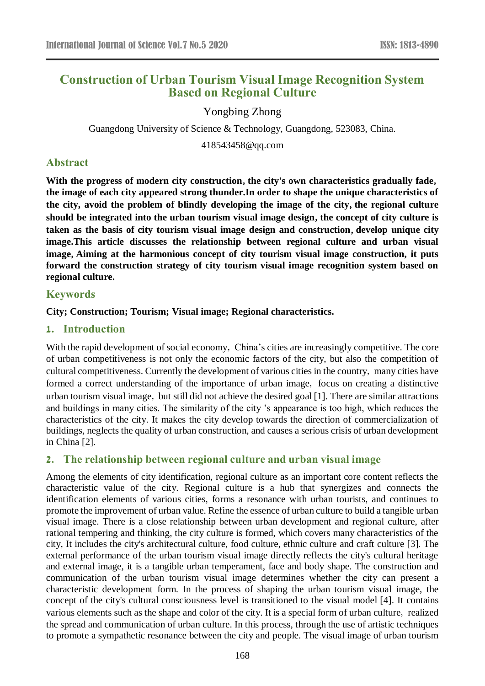# **Construction of Urban Tourism Visual Image Recognition System Based on Regional Culture**

Yongbing Zhong

Guangdong University of Science & Technology, Guangdong, 523083, China.

418543458@qq.com

# **Abstract**

**With the progress of modern city construction**,**the city's own characteristics gradually fade**, **the image of each city appeared strong thunder.In order to shape the unique characteristics of the city, avoid the problem of blindly developing the image of the city**,**the regional culture should be integrated into the urban tourism visual image design**,**the concept of city culture is taken as the basis of city tourism visual image design and construction**,**develop unique city image.This article discusses the relationship between regional culture and urban visual image**,**Aiming at the harmonious concept of city tourism visual image construction, it puts forward the construction strategy of city tourism visual image recognition system based on regional culture.**

# **Keywords**

**City; Construction; Tourism; Visual image; Regional characteristics.**

# **1. Introduction**

With the rapid development of social economy, China's cities are increasingly competitive. The core of urban competitiveness is not only the economic factors of the city, but also the competition of cultural competitiveness. Currently the development of various cities in the country, many cities have formed a correct understanding of the importance of urban image, focus on creating a distinctive urban tourism visual image, but still did not achieve the desired goal [1]. There are similar attractions and buildings in many cities. The similarity of the city 's appearance is too high, which reduces the characteristics of the city. It makes the city develop towards the direction of commercialization of buildings, neglects the quality of urban construction, and causes a serious crisis of urban development in China [2].

## **2. The relationship between regional culture and urban visual image**

Among the elements of city identification, regional culture as an important core content reflects the characteristic value of the city. Regional culture is a hub that synergizes and connects the identification elements of various cities, forms a resonance with urban tourists, and continues to promote the improvement of urban value. Refine the essence of urban culture to build a tangible urban visual image. There is a close relationship between urban development and regional culture, after rational tempering and thinking, the city culture is formed, which covers many characteristics of the city, It includes the city's architectural culture, food culture, ethnic culture and craft culture [3]. The external performance of the urban tourism visual image directly reflects the city's cultural heritage and external image, it is a tangible urban temperament, face and body shape. The construction and communication of the urban tourism visual image determines whether the city can present a characteristic development form. In the process of shaping the urban tourism visual image, the concept of the city's cultural consciousness level is transitioned to the visual model [4]. It contains various elements such as the shape and color of the city. It is a special form of urban culture, realized the spread and communication of urban culture. In this process, through the use of artistic techniques to promote a sympathetic resonance between the city and people. The visual image of urban tourism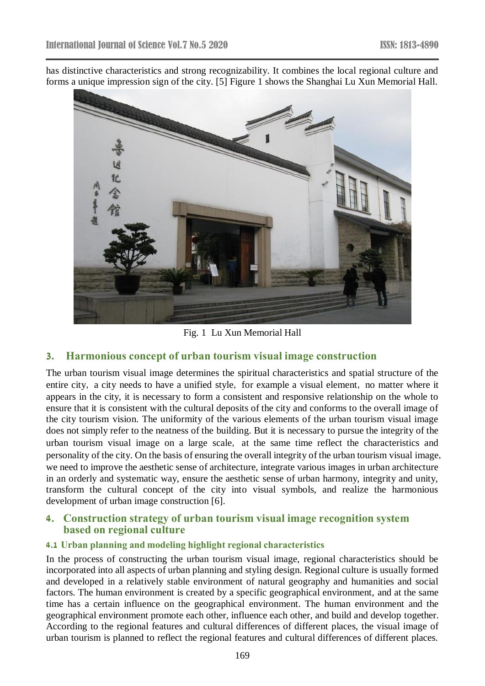has distinctive characteristics and strong recognizability. It combines the local regional culture and forms a unique impression sign of the city. [5] Figure 1 shows the Shanghai Lu Xun Memorial Hall.



Fig. 1 Lu Xun Memorial Hall

## **3. Harmonious concept of urban tourism visual image construction**

The urban tourism visual image determines the spiritual characteristics and spatial structure of the entire city, a city needs to have a unified style, for example a visual element, no matter where it appears in the city, it is necessary to form a consistent and responsive relationship on the whole to ensure that it is consistent with the cultural deposits of the city and conforms to the overall image of the city tourism vision. The uniformity of the various elements of the urban tourism visual image does not simply refer to the neatness of the building. But it is necessary to pursue the integrity of the urban tourism visual image on a large scale, at the same time reflect the characteristics and personality of the city. On the basis of ensuring the overall integrity of the urban tourism visual image, we need to improve the aesthetic sense of architecture, integrate various images in urban architecture in an orderly and systematic way, ensure the aesthetic sense of urban harmony, integrity and unity, transform the cultural concept of the city into visual symbols, and realize the harmonious development of urban image construction [6].

### **4. Construction strategy of urban tourism visual image recognition system based on regional culture**

#### **4.1 Urban planning and modeling highlight regional characteristics**

In the process of constructing the urban tourism visual image, regional characteristics should be incorporated into all aspects of urban planning and styling design. Regional culture is usually formed and developed in a relatively stable environment of natural geography and humanities and social factors. The human environment is created by a specific geographical environment, and at the same time has a certain influence on the geographical environment. The human environment and the geographical environment promote each other, influence each other, and build and develop together. According to the regional features and cultural differences of different places, the visual image of urban tourism is planned to reflect the regional features and cultural differences of different places.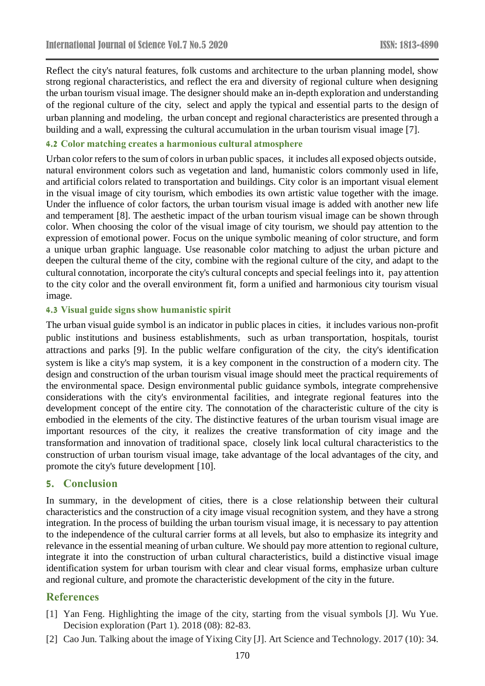Reflect the city's natural features, folk customs and architecture to the urban planning model, show strong regional characteristics, and reflect the era and diversity of regional culture when designing the urban tourism visual image. The designer should make an in-depth exploration and understanding of the regional culture of the city, select and apply the typical and essential parts to the design of urban planning and modeling, the urban concept and regional characteristics are presented through a building and a wall, expressing the cultural accumulation in the urban tourism visual image [7].

#### **4.2 Color matching creates a harmonious cultural atmosphere**

Urban color refers to the sum of colors in urban public spaces, it includes all exposed objects outside, natural environment colors such as vegetation and land, humanistic colors commonly used in life, and artificial colors related to transportation and buildings. City color is an important visual element in the visual image of city tourism, which embodies its own artistic value together with the image. Under the influence of color factors, the urban tourism visual image is added with another new life and temperament [8]. The aesthetic impact of the urban tourism visual image can be shown through color. When choosing the color of the visual image of city tourism, we should pay attention to the expression of emotional power. Focus on the unique symbolic meaning of color structure, and form a unique urban graphic language. Use reasonable color matching to adjust the urban picture and deepen the cultural theme of the city, combine with the regional culture of the city, and adapt to the cultural connotation, incorporate the city's cultural concepts and special feelings into it, pay attention to the city color and the overall environment fit, form a unified and harmonious city tourism visual image.

#### **4.3 Visual guide signs show humanistic spirit**

The urban visual guide symbol is an indicator in public places in cities, it includes various non-profit public institutions and business establishments, such as urban transportation, hospitals, tourist attractions and parks [9]. In the public welfare configuration of the city, the city's identification system is like a city's map system, it is a key component in the construction of a modern city. The design and construction of the urban tourism visual image should meet the practical requirements of the environmental space. Design environmental public guidance symbols, integrate comprehensive considerations with the city's environmental facilities, and integrate regional features into the development concept of the entire city. The connotation of the characteristic culture of the city is embodied in the elements of the city. The distinctive features of the urban tourism visual image are important resources of the city, it realizes the creative transformation of city image and the transformation and innovation of traditional space, closely link local cultural characteristics to the construction of urban tourism visual image, take advantage of the local advantages of the city, and promote the city's future development [10].

#### **5. Conclusion**

In summary, in the development of cities, there is a close relationship between their cultural characteristics and the construction of a city image visual recognition system, and they have a strong integration. In the process of building the urban tourism visual image, it is necessary to pay attention to the independence of the cultural carrier forms at all levels, but also to emphasize its integrity and relevance in the essential meaning of urban culture. We should pay more attention to regional culture, integrate it into the construction of urban cultural characteristics, build a distinctive visual image identification system for urban tourism with clear and clear visual forms, emphasize urban culture and regional culture, and promote the characteristic development of the city in the future.

### **References**

- [1] Yan Feng. Highlighting the image of the city, starting from the visual symbols [J]. Wu Yue. Decision exploration (Part 1). 2018 (08): 82-83.
- [2] Cao Jun. Talking about the image of Yixing City [J]. Art Science and Technology. 2017 (10): 34.